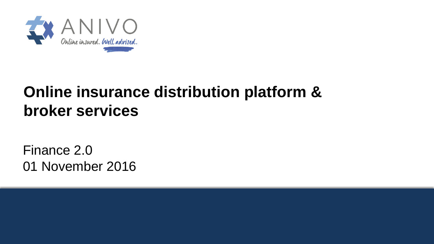

# **Online insurance distribution platform & broker services**

Finance 2.0 01 November 2016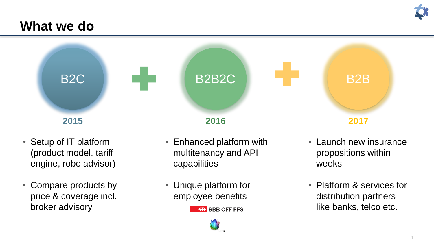

### **What we do**



- Setup of IT platform (product model, tariff engine, robo advisor)
- Compare products by price & coverage incl. broker advisory
- Enhanced platform with multitenancy and API capabilities
- Unique platform for employee benefits

• Launch new insurance propositions within weeks

• Platform & services for distribution partners like banks, telco etc.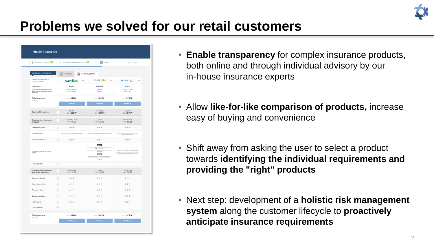

## **Problems we solved for our retail customers**

| <b>Health insurance</b>                                                                                          |                                                                |                                                                                                                                                                                                                                                                        |                                                                                                                                 |
|------------------------------------------------------------------------------------------------------------------|----------------------------------------------------------------|------------------------------------------------------------------------------------------------------------------------------------------------------------------------------------------------------------------------------------------------------------------------|---------------------------------------------------------------------------------------------------------------------------------|
| 1 Basic health insurance                                                                                         | Supplementary health insurance<br>2 <sup>1</sup>               | Offer<br>3 <sup>°</sup>                                                                                                                                                                                                                                                | 4 Inquiry                                                                                                                       |
| Comparison of offer details                                                                                      | <b>OVERVIEW</b><br>G<br>這                                      | <b>COMPARE DETAILS</b>                                                                                                                                                                                                                                                 |                                                                                                                                 |
| <b>INSURERS / PRODUCTS</b><br>6 offers com                                                                       | sanitas                                                        | sanagate<br>$\checkmark$                                                                                                                                                                                                                                               | atupri <sub>nne</sub>                                                                                                           |
| <b>Health insurer</b><br>Supplementary Insurance (hospital)<br>Supplementary insurance (outpatient<br>treatment) | <b>SANITAS</b><br><b>Hospital Top Liberty</b><br>Ambulant Easy | SANAGATE<br>Optima<br>Minima                                                                                                                                                                                                                                           | <b>ATUPRI</b><br>Comforta Privat<br>Extensa (26+)                                                                               |
| <b>Total premium</b><br>monthly                                                                                  | CHF 340.00                                                     | CHF 341.00                                                                                                                                                                                                                                                             | CHF 375.30                                                                                                                      |
|                                                                                                                  | Continue                                                       | Continue                                                                                                                                                                                                                                                               | Continue                                                                                                                        |
| <b>Basic health insurance</b>                                                                                    | SANITAS<br>$\checkmark$<br>CHF 280.00                          | SANAGATE<br>CHF 288.00                                                                                                                                                                                                                                                 | <b>ATUPR</b><br>CHF 267.00                                                                                                      |
| <b>Supplementary insurance</b><br>(hospital)                                                                     | Hospital Top Liberty<br>$_{\rm v}$<br>CHF 48.00                | Optima<br>CHF 43.00                                                                                                                                                                                                                                                    | Comforta Privat<br>CHF 69.35                                                                                                    |
| Free hospital choice                                                                                             | ***<br>$\boldsymbol{\wedge}$                                   | ***                                                                                                                                                                                                                                                                    | ***                                                                                                                             |
| Domestic hospital                                                                                                | Single bedroom in all hospitals worldwide                      | Throughout Switzerland (contractual hospitals)                                                                                                                                                                                                                         | Single bedroom in contractual hospitals<br>throughout Switzerland                                                               |
| Personal contribution                                                                                            | ***<br>$\hat{\phantom{a}}$                                     | ★★☆                                                                                                                                                                                                                                                                    | ***                                                                                                                             |
| Personal contribution by insured<br>person                                                                       |                                                                | Option 1<br>Semi-private ward: Personal contribution 20%,<br>max. CHF 2000.-<br>Private ward: Personal contribution 35%, max.<br>CHF 4'000.-<br>Option 2<br>Semi-private ward: Personal contribution 0%<br>Private ward: Personal contribution 35%, max.<br>CHF 2000.- | General ward: Personal contribution 0%<br>Semi-private ward: Personal contribution 0%<br>Private ward: Personal contribution 0% |
| <b>Further benefits</b>                                                                                          | $\checkmark$                                                   |                                                                                                                                                                                                                                                                        |                                                                                                                                 |
| <b>Supplementary insurance</b><br>(outpatient treatment)                                                         | <b>Ambulant Easy</b><br>V<br>CHF 12.00                         | Minima<br>CHF 10.00                                                                                                                                                                                                                                                    | Extensa (26+)<br>CHF 38.95                                                                                                      |
| <b>Emergency abroad</b>                                                                                          | ***<br>$\lor$                                                  | ★☆☆                                                                                                                                                                                                                                                                    | ★☆☆                                                                                                                             |
| Alternative medicine                                                                                             | ★☆☆<br>$_{\rm v}$                                              | ★☆☆                                                                                                                                                                                                                                                                    | 含食食                                                                                                                             |
| Prevention, fitness                                                                                              | ★☆☆<br>$\mathbf{v}$                                            | 含含含                                                                                                                                                                                                                                                                    | ***                                                                                                                             |
| Glasses, visual aids                                                                                             | ★☆☆<br>$_{\vee}$                                               | ★☆☆                                                                                                                                                                                                                                                                    | ***                                                                                                                             |
| <b>Health resorts</b>                                                                                            | ★☆☆<br>$\vee$                                                  | ★☆☆                                                                                                                                                                                                                                                                    | ★★☆                                                                                                                             |
| <b>Further benefits</b>                                                                                          | $\mathbf{v}$                                                   |                                                                                                                                                                                                                                                                        |                                                                                                                                 |
| <b>Total premium</b><br>monthly                                                                                  | CHF 340.00                                                     | CHF 341.00                                                                                                                                                                                                                                                             | CHF 375.30                                                                                                                      |

- **Enable transparency** for complex insurance products, both online and through individual advisory by our in-house insurance experts
- Allow **like-for-like comparison of products,** increase easy of buying and convenience
- Shift away from asking the user to select a product towards **identifying the individual requirements and providing the "right" products**
- Next step: development of a **holistic risk management system** along the customer lifecycle to **proactively anticipate insurance requirements**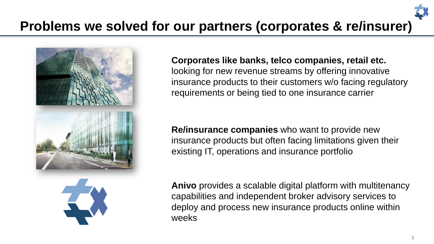

#### **Corporates like banks, telco companies, retail etc.**

looking for new revenue streams by offering innovative insurance products to their customers w/o facing regulatory requirements or being tied to one insurance carrier

**Re/insurance companies** who want to provide new insurance products but often facing limitations given their existing IT, operations and insurance portfolio

**Anivo** provides a scalable digital platform with multitenancy capabilities and independent broker advisory services to deploy and process new insurance products online within weeks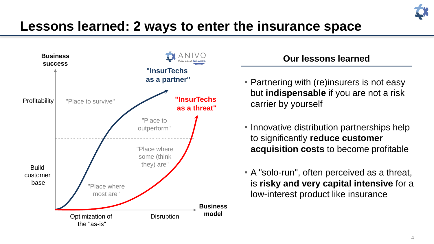

## **Lessons learned: 2 ways to enter the insurance space**



### **Our lessons learned**

- Partnering with (re)insurers is not easy but **indispensable** if you are not a risk carrier by yourself
- Innovative distribution partnerships help to significantly **reduce customer acquisition costs** to become profitable
- A "solo-run", often perceived as a threat, is **risky and very capital intensive** for a low-interest product like insurance